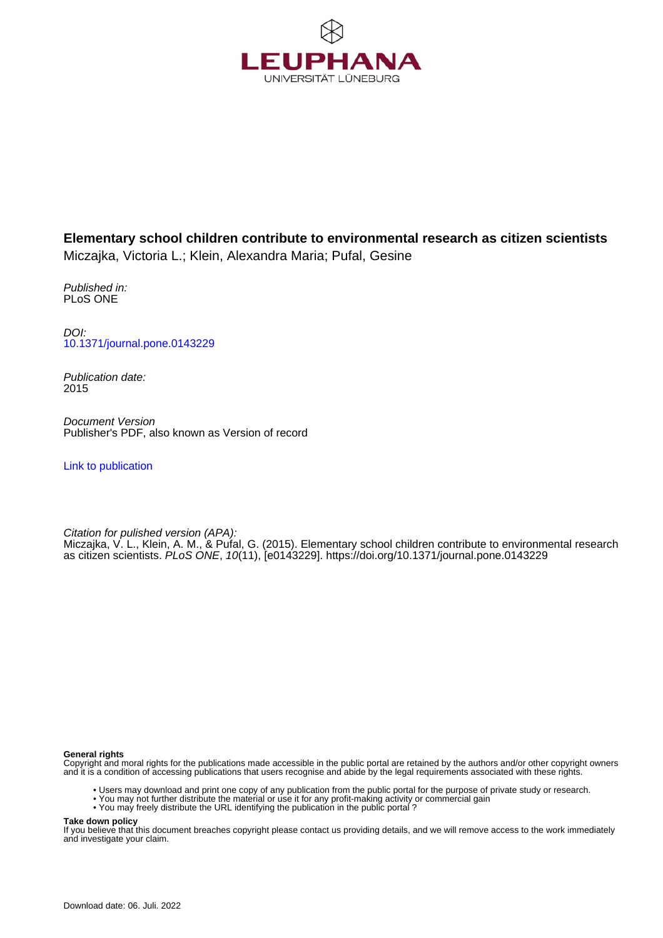

# **Elementary school children contribute to environmental research as citizen scientists**

Miczajka, Victoria L.; Klein, Alexandra Maria; Pufal, Gesine

Published in: PLoS ONE

DOI: [10.1371/journal.pone.0143229](https://doi.org/10.1371/journal.pone.0143229)

Publication date: 2015

Document Version Publisher's PDF, also known as Version of record

[Link to publication](http://fox.leuphana.de/portal/en/publications/elementary-school-children-contribute-to-environmental-research-as-citizen-scientists(ff1dddf2-3690-4375-abc7-9ea47729dc8f).html)

Citation for pulished version (APA): [Miczajka, V. L.](http://fox.leuphana.de/portal/de/persons/victoria-l-miczajka(c235d6b3-0261-42d1-b649-6942ae61229c).html)[, Klein, A. M.](http://fox.leuphana.de/portal/de/persons/alexandramaria-klein(143d46fb-99df-4d55-9e72-39bbc0cdf8ad).html)[, & Pufal, G.](http://fox.leuphana.de/portal/de/persons/gesine-pufal(e6133a4a-094f-4251-9a82-d4be12de0868).html) (2015). [Elementary school children contribute to environmental research](http://fox.leuphana.de/portal/de/publications/elementary-school-children-contribute-to-environmental-research-as-citizen-scientists(ff1dddf2-3690-4375-abc7-9ea47729dc8f).html) [as citizen scientists.](http://fox.leuphana.de/portal/de/publications/elementary-school-children-contribute-to-environmental-research-as-citizen-scientists(ff1dddf2-3690-4375-abc7-9ea47729dc8f).html) [PLoS ONE](http://fox.leuphana.de/portal/de/journals/plos-one(d9d64532-9bb8-4d71-b32a-1bcea00e52ee)/publications.html), 10(11), [e0143229]. <https://doi.org/10.1371/journal.pone.0143229>

#### **General rights**

Copyright and moral rights for the publications made accessible in the public portal are retained by the authors and/or other copyright owners and it is a condition of accessing publications that users recognise and abide by the legal requirements associated with these rights.

- Users may download and print one copy of any publication from the public portal for the purpose of private study or research.
- You may not further distribute the material or use it for any profit-making activity or commercial gain
- You may freely distribute the URL identifying the publication in the public portal ?

#### **Take down policy**

If you believe that this document breaches copyright please contact us providing details, and we will remove access to the work immediately and investigate your claim.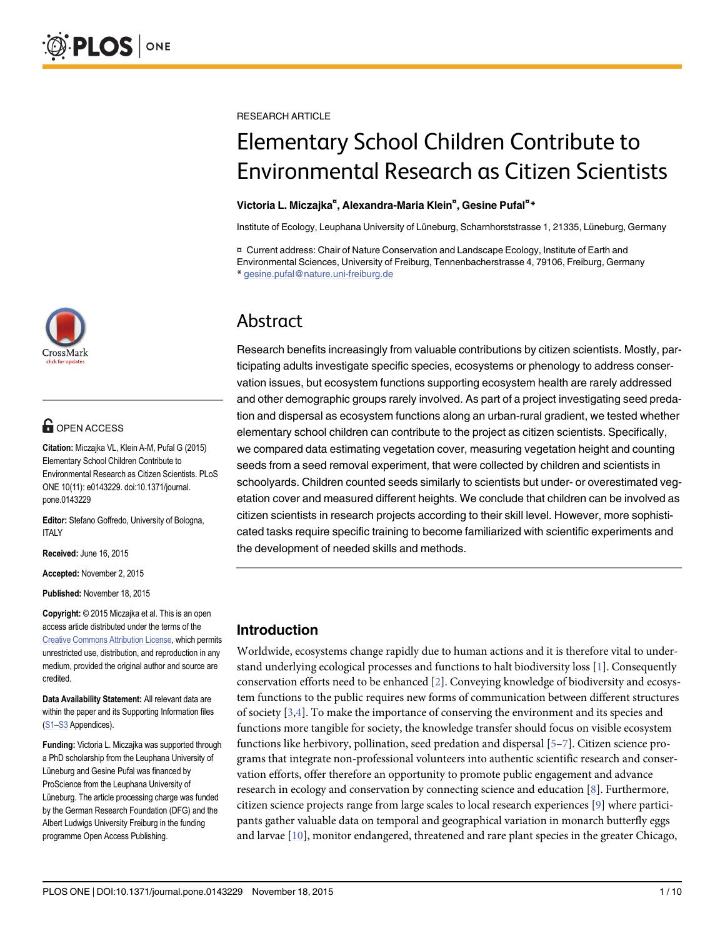

# **G** OPEN ACCESS

Citation: Miczajka VL, Klein A-M, Pufal G (2015) Elementary School Children Contribute to Environmental Research as Citizen Scientists. PLoS ONE 10(11): e0143229. doi:10.1371/journal. pone.0143229

Editor: Stefano Goffredo, University of Bologna, ITALY

Received: June 16, 2015

Accepted: November 2, 2015

Published: November 18, 2015

Copyright: © 2015 Miczajka et al. This is an open access article distributed under the terms of the [Creative Commons Attribution License,](http://creativecommons.org/licenses/by/4.0/) which permits unrestricted use, distribution, and reproduction in any medium, provided the original author and source are credited.

Data Availability Statement: All relevant data are within the paper and its Supporting Information files [\(S1](#page-8-0)–[S3](#page-8-0) Appendices).

Funding: Victoria L. Miczajka was supported through a PhD scholarship from the Leuphana University of Lüneburg and Gesine Pufal was financed by ProScience from the Leuphana University of Lüneburg. The article processing charge was funded by the German Research Foundation (DFG) and the Albert Ludwigs University Freiburg in the funding programme Open Access Publishing.

<span id="page-1-0"></span>RESEARCH ARTICLE

# Elementary School Children Contribute to Environmental Research as Citizen Scientists

#### Victoria L. Miczajka<sup>¤</sup>, Alexandra-Maria Klein<sup>¤</sup>, Gesine Pufal<sup>¤</sup>\*

Institute of Ecology, Leuphana University of Lüneburg, Scharnhorststrasse 1, 21335, Lüneburg, Germany

¤ Current address: Chair of Nature Conservation and Landscape Ecology, Institute of Earth and Environmental Sciences, University of Freiburg, Tennenbacherstrasse 4, 79106, Freiburg, Germany \* gesine.pufal@nature.uni-freiburg.de

# Abstract

Research benefits increasingly from valuable contributions by citizen scientists. Mostly, participating adults investigate specific species, ecosystems or phenology to address conservation issues, but ecosystem functions supporting ecosystem health are rarely addressed and other demographic groups rarely involved. As part of a project investigating seed predation and dispersal as ecosystem functions along an urban-rural gradient, we tested whether elementary school children can contribute to the project as citizen scientists. Specifically, we compared data estimating vegetation cover, measuring vegetation height and counting seeds from a seed removal experiment, that were collected by children and scientists in schoolyards. Children counted seeds similarly to scientists but under- or overestimated vegetation cover and measured different heights. We conclude that children can be involved as citizen scientists in research projects according to their skill level. However, more sophisticated tasks require specific training to become familiarized with scientific experiments and the development of needed skills and methods.

# Introduction

Worldwide, ecosystems change rapidly due to human actions and it is therefore vital to understand underlying ecological processes and functions to halt biodiversity loss [\[1\]](#page-8-0). Consequently conservation efforts need to be enhanced [[2](#page-9-0)]. Conveying knowledge of biodiversity and ecosystem functions to the public requires new forms of communication between different structures of society [[3,4\]](#page-9-0). To make the importance of conserving the environment and its species and functions more tangible for society, the knowledge transfer should focus on visible ecosystem functions like herbivory, pollination, seed predation and dispersal [\[5](#page-9-0)–[7\]](#page-9-0). Citizen science programs that integrate non-professional volunteers into authentic scientific research and conservation efforts, offer therefore an opportunity to promote public engagement and advance research in ecology and conservation by connecting science and education [[8\]](#page-9-0). Furthermore, citizen science projects range from large scales to local research experiences [\[9\]](#page-9-0) where participants gather valuable data on temporal and geographical variation in monarch butterfly eggs and larvae  $[10]$  $[10]$  $[10]$ , monitor endangered, threatened and rare plant species in the greater Chicago,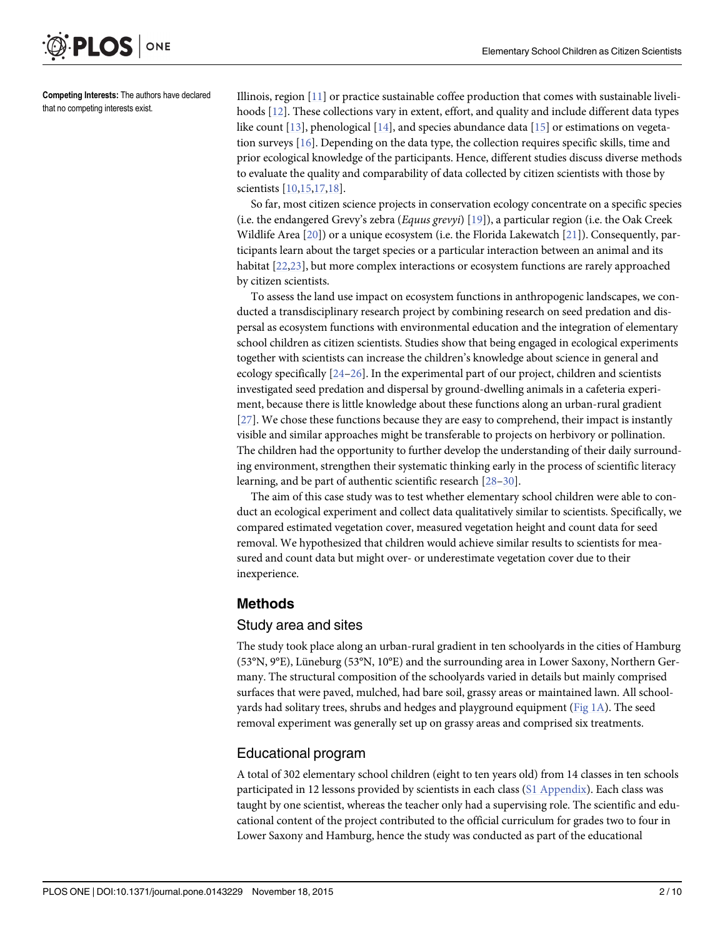<span id="page-2-0"></span>

Competing Interests: The authors have declared that no competing interests exist.

Illinois, region [\[11\]](#page-9-0) or practice sustainable coffee production that comes with sustainable livelihoods [[12](#page-9-0)]. These collections vary in extent, effort, and quality and include different data types like count  $[13]$  $[13]$  $[13]$ , phenological  $[14]$  $[14]$  $[14]$ , and species abundance data  $[15]$  $[15]$  $[15]$  or estimations on vegetation surveys [\[16\]](#page-9-0). Depending on the data type, the collection requires specific skills, time and prior ecological knowledge of the participants. Hence, different studies discuss diverse methods to evaluate the quality and comparability of data collected by citizen scientists with those by scientists [[10,15,17,18\]](#page-9-0).

So far, most citizen science projects in conservation ecology concentrate on a specific species (i.e. the endangered Grevy's zebra (*Equus grevyi*) [\[19\]](#page-9-0)), a particular region (i.e. the Oak Creek Wildlife Area [\[20\]](#page-9-0)) or a unique ecosystem (i.e. the Florida Lakewatch [\[21\]](#page-9-0)). Consequently, participants learn about the target species or a particular interaction between an animal and its habitat [\[22,23\]](#page-9-0), but more complex interactions or ecosystem functions are rarely approached by citizen scientists.

To assess the land use impact on ecosystem functions in anthropogenic landscapes, we conducted a transdisciplinary research project by combining research on seed predation and dispersal as ecosystem functions with environmental education and the integration of elementary school children as citizen scientists. Studies show that being engaged in ecological experiments together with scientists can increase the children's knowledge about science in general and ecology specifically [\[24](#page-9-0)–[26\]](#page-9-0). In the experimental part of our project, children and scientists investigated seed predation and dispersal by ground-dwelling animals in a cafeteria experiment, because there is little knowledge about these functions along an urban-rural gradient [\[27](#page-9-0)]. We chose these functions because they are easy to comprehend, their impact is instantly visible and similar approaches might be transferable to projects on herbivory or pollination. The children had the opportunity to further develop the understanding of their daily surrounding environment, strengthen their systematic thinking early in the process of scientific literacy learning, and be part of authentic scientific research [\[28](#page-9-0)–[30](#page-10-0)].

The aim of this case study was to test whether elementary school children were able to conduct an ecological experiment and collect data qualitatively similar to scientists. Specifically, we compared estimated vegetation cover, measured vegetation height and count data for seed removal. We hypothesized that children would achieve similar results to scientists for measured and count data but might over- or underestimate vegetation cover due to their inexperience.

#### Methods

#### Study area and sites

The study took place along an urban-rural gradient in ten schoolyards in the cities of Hamburg (53°N, 9°E), Lüneburg (53°N, 10°E) and the surrounding area in Lower Saxony, Northern Germany. The structural composition of the schoolyards varied in details but mainly comprised surfaces that were paved, mulched, had bare soil, grassy areas or maintained lawn. All schoolyards had solitary trees, shrubs and hedges and playground equipment ( $Fig 1A$ ). The seed removal experiment was generally set up on grassy areas and comprised six treatments.

## Educational program

A total of 302 elementary school children (eight to ten years old) from 14 classes in ten schools participated in 12 lessons provided by scientists in each class [\(S1 Appendix](#page-8-0)). Each class was taught by one scientist, whereas the teacher only had a supervising role. The scientific and educational content of the project contributed to the official curriculum for grades two to four in Lower Saxony and Hamburg, hence the study was conducted as part of the educational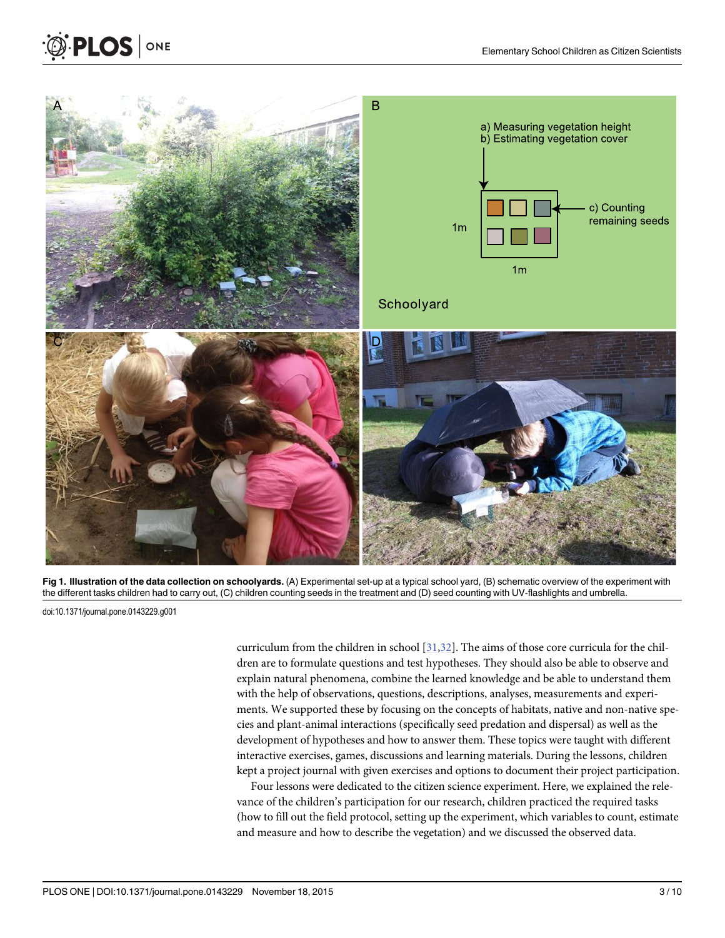

[Fig 1. I](#page-2-0)llustration of the data collection on schoolyards. (A) Experimental set-up at a typical school yard, (B) schematic overview of the experiment with the different tasks children had to carry out, (C) children counting seeds in the treatment and (D) seed counting with UV-flashlights and umbrella.

doi:10.1371/journal.pone.0143229.g001

<span id="page-3-0"></span>**PLOS** ONE

curriculum from the children in school  $[31,32]$  $[31,32]$ . The aims of those core curricula for the children are to formulate questions and test hypotheses. They should also be able to observe and explain natural phenomena, combine the learned knowledge and be able to understand them with the help of observations, questions, descriptions, analyses, measurements and experiments. We supported these by focusing on the concepts of habitats, native and non-native species and plant-animal interactions (specifically seed predation and dispersal) as well as the development of hypotheses and how to answer them. These topics were taught with different interactive exercises, games, discussions and learning materials. During the lessons, children kept a project journal with given exercises and options to document their project participation.

Four lessons were dedicated to the citizen science experiment. Here, we explained the relevance of the children's participation for our research, children practiced the required tasks (how to fill out the field protocol, setting up the experiment, which variables to count, estimate and measure and how to describe the vegetation) and we discussed the observed data.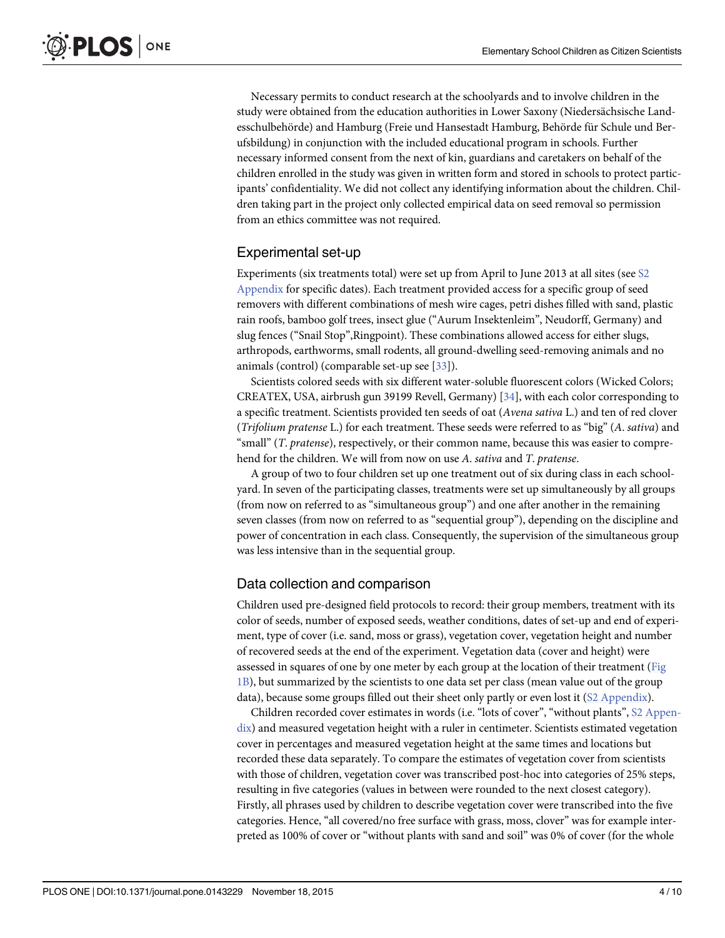<span id="page-4-0"></span>Necessary permits to conduct research at the schoolyards and to involve children in the study were obtained from the education authorities in Lower Saxony (Niedersächsische Landesschulbehörde) and Hamburg (Freie und Hansestadt Hamburg, Behörde für Schule und Berufsbildung) in conjunction with the included educational program in schools. Further necessary informed consent from the next of kin, guardians and caretakers on behalf of the children enrolled in the study was given in written form and stored in schools to protect participants' confidentiality. We did not collect any identifying information about the children. Children taking part in the project only collected empirical data on seed removal so permission from an ethics committee was not required.

### Experimental set-up

Experiments (six treatments total) were set up from April to June 2013 at all sites (see [S2](#page-8-0) [Appendix](#page-8-0) for specific dates). Each treatment provided access for a specific group of seed removers with different combinations of mesh wire cages, petri dishes filled with sand, plastic rain roofs, bamboo golf trees, insect glue ("Aurum Insektenleim", Neudorff, Germany) and slug fences ("Snail Stop",Ringpoint). These combinations allowed access for either slugs, arthropods, earthworms, small rodents, all ground-dwelling seed-removing animals and no animals (control) (comparable set-up see [\[33\]](#page-10-0)).

Scientists colored seeds with six different water-soluble fluorescent colors (Wicked Colors; CREATEX, USA, airbrush gun 39199 Revell, Germany) [\[34](#page-10-0)], with each color corresponding to a specific treatment. Scientists provided ten seeds of oat (Avena sativa L.) and ten of red clover (Trifolium pratense L.) for each treatment. These seeds were referred to as "big" (A. sativa) and "small" (T. pratense), respectively, or their common name, because this was easier to comprehend for the children. We will from now on use A. sativa and T. pratense.

A group of two to four children set up one treatment out of six during class in each schoolyard. In seven of the participating classes, treatments were set up simultaneously by all groups (from now on referred to as "simultaneous group") and one after another in the remaining seven classes (from now on referred to as "sequential group"), depending on the discipline and power of concentration in each class. Consequently, the supervision of the simultaneous group was less intensive than in the sequential group.

#### Data collection and comparison

Children used pre-designed field protocols to record: their group members, treatment with its color of seeds, number of exposed seeds, weather conditions, dates of set-up and end of experiment, type of cover (i.e. sand, moss or grass), vegetation cover, vegetation height and number of recovered seeds at the end of the experiment. Vegetation data (cover and height) were assessed in squares of one by one meter by each group at the location of their treatment [\(Fig](#page-3-0) [1B\)](#page-3-0), but summarized by the scientists to one data set per class (mean value out of the group data), because some groups filled out their sheet only partly or even lost it ([S2 Appendix\)](#page-8-0).

Children recorded cover estimates in words (i.e. "lots of cover", "without plants", [S2 Appen](#page-8-0)[dix](#page-8-0)) and measured vegetation height with a ruler in centimeter. Scientists estimated vegetation cover in percentages and measured vegetation height at the same times and locations but recorded these data separately. To compare the estimates of vegetation cover from scientists with those of children, vegetation cover was transcribed post-hoc into categories of 25% steps, resulting in five categories (values in between were rounded to the next closest category). Firstly, all phrases used by children to describe vegetation cover were transcribed into the five categories. Hence, "all covered/no free surface with grass, moss, clover" was for example interpreted as 100% of cover or "without plants with sand and soil" was 0% of cover (for the whole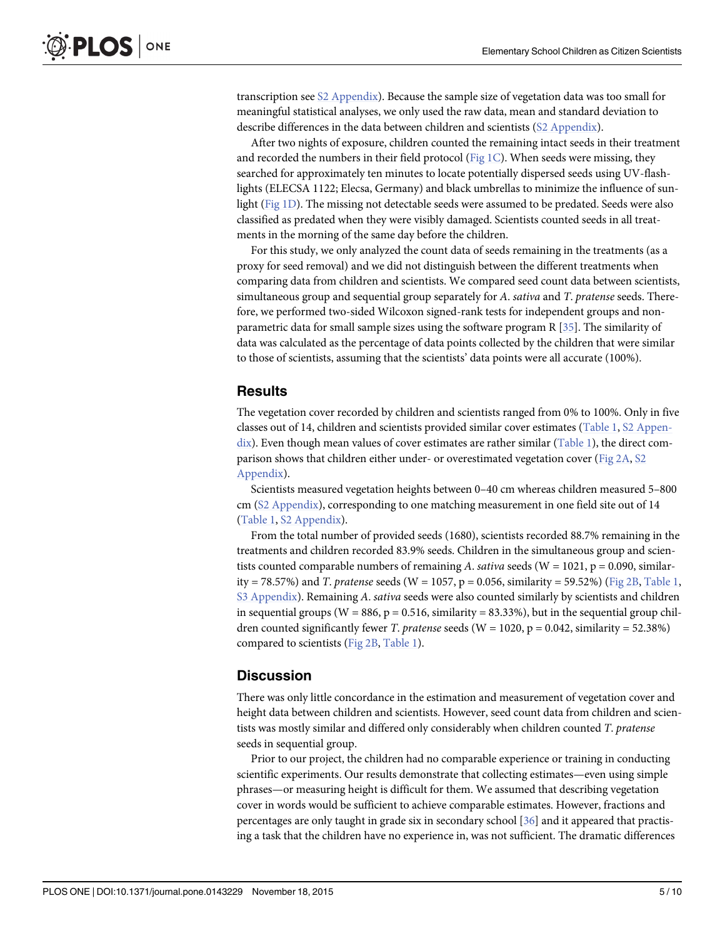<span id="page-5-0"></span>transcription see [S2 Appendix](#page-8-0)). Because the sample size of vegetation data was too small for meaningful statistical analyses, we only used the raw data, mean and standard deviation to describe differences in the data between children and scientists [\(S2 Appendix](#page-8-0)).

After two nights of exposure, children counted the remaining intact seeds in their treatment and recorded the numbers in their field protocol ([Fig 1C\)](#page-3-0). When seeds were missing, they searched for approximately ten minutes to locate potentially dispersed seeds using UV-flashlights (ELECSA 1122; Elecsa, Germany) and black umbrellas to minimize the influence of sunlight ([Fig 1D](#page-3-0)). The missing not detectable seeds were assumed to be predated. Seeds were also classified as predated when they were visibly damaged. Scientists counted seeds in all treatments in the morning of the same day before the children.

For this study, we only analyzed the count data of seeds remaining in the treatments (as a proxy for seed removal) and we did not distinguish between the different treatments when comparing data from children and scientists. We compared seed count data between scientists, simultaneous group and sequential group separately for A, sativa and T, pratense seeds. Therefore, we performed two-sided Wilcoxon signed-rank tests for independent groups and nonparametric data for small sample sizes using the software program R [\[35\]](#page-10-0). The similarity of data was calculated as the percentage of data points collected by the children that were similar to those of scientists, assuming that the scientists' data points were all accurate (100%).

#### **Results**

The vegetation cover recorded by children and scientists ranged from 0% to 100%. Only in five classes out of 14, children and scientists provided similar cover estimates [\(Table 1,](#page-6-0) [S2 Appen-](#page-8-0) $\frac{div}{dx}$ ). Even though mean values of cover estimates are rather similar ([Table 1](#page-6-0)), the direct comparison shows that children either under- or overestimated vegetation cover ([Fig 2A](#page-7-0), [S2](#page-8-0) [Appendix](#page-8-0)).

Scientists measured vegetation heights between 0–40 cm whereas children measured 5–800 cm ([S2 Appendix](#page-8-0)), corresponding to one matching measurement in one field site out of 14 [\(Table 1,](#page-6-0) [S2 Appendix](#page-8-0)).

From the total number of provided seeds (1680), scientists recorded 88.7% remaining in the treatments and children recorded 83.9% seeds. Children in the simultaneous group and scientists counted comparable numbers of remaining A. sativa seeds ( $W = 1021$ ,  $p = 0.090$ , similarity = 78.57%) and *T. pratense* seeds (W = 1057, p = 0.056, similarity = 59.52%) [\(Fig 2B,](#page-7-0) [Table 1](#page-6-0), [S3 Appendix](#page-8-0)). Remaining A. sativa seeds were also counted similarly by scientists and children in sequential groups (W = 886,  $p = 0.516$ , similarity = 83.33%), but in the sequential group children counted significantly fewer T. pratense seeds (W = 1020, p = 0.042, similarity = 52.38%) compared to scientists ([Fig 2B](#page-7-0), [Table 1\)](#page-6-0).

#### **Discussion**

There was only little concordance in the estimation and measurement of vegetation cover and height data between children and scientists. However, seed count data from children and scientists was mostly similar and differed only considerably when children counted T. pratense seeds in sequential group.

Prior to our project, the children had no comparable experience or training in conducting scientific experiments. Our results demonstrate that collecting estimates—even using simple phrases—or measuring height is difficult for them. We assumed that describing vegetation cover in words would be sufficient to achieve comparable estimates. However, fractions and percentages are only taught in grade six in secondary school [\[36\]](#page-10-0) and it appeared that practising a task that the children have no experience in, was not sufficient. The dramatic differences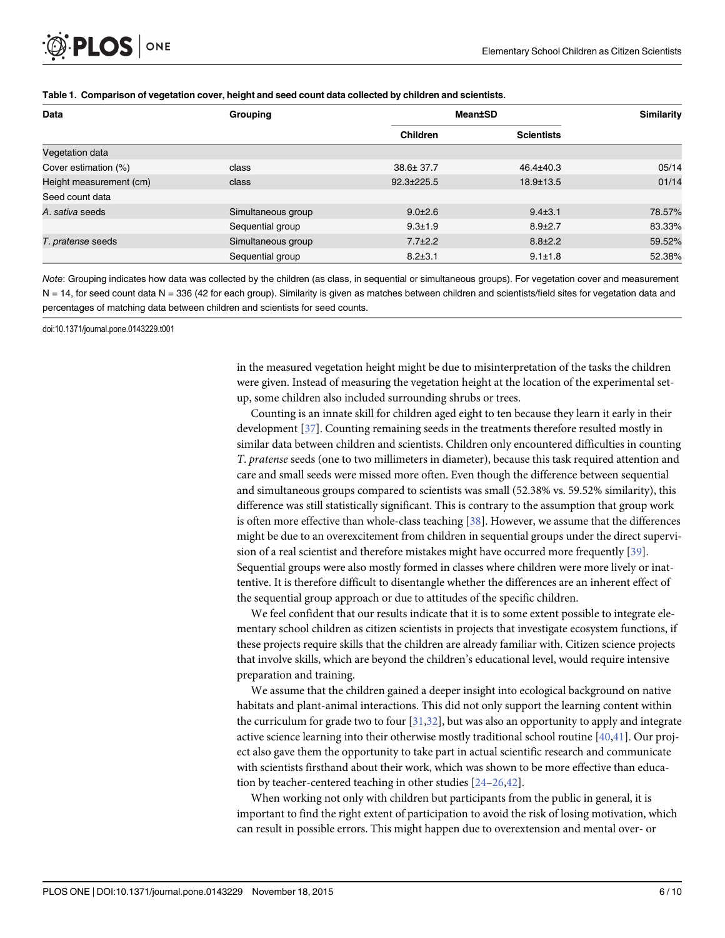<span id="page-6-0"></span>

| Data                    | Grouping           | <b>Mean±SD</b>  |                   | <b>Similarity</b> |
|-------------------------|--------------------|-----------------|-------------------|-------------------|
|                         |                    | Children        | <b>Scientists</b> |                   |
| Vegetation data         |                    |                 |                   |                   |
| Cover estimation (%)    | class              | $38.6 \pm 37.7$ | $46.4 \pm 40.3$   | 05/14             |
| Height measurement (cm) | class              | 92.3±225.5      | $18.9 \pm 13.5$   | 01/14             |
| Seed count data         |                    |                 |                   |                   |
| A. sativa seeds         | Simultaneous group | $9.0 \pm 2.6$   | $9.4 \pm 3.1$     | 78.57%            |
|                         | Sequential group   | $9.3 \pm 1.9$   | $8.9 \pm 2.7$     | 83.33%            |
| T. pratense seeds       | Simultaneous group | $7.7 \pm 2.2$   | $8.8 \pm 2.2$     | 59.52%            |
|                         | Sequential group   | $8.2 \pm 3.1$   | $9.1 \pm 1.8$     | 52.38%            |

#### [Table 1.](#page-5-0) Comparison of vegetation cover, height and seed count data collected by children and scientists.

Note: Grouping indicates how data was collected by the children (as class, in sequential or simultaneous groups). For vegetation cover and measurement N = 14, for seed count data N = 336 (42 for each group). Similarity is given as matches between children and scientists/field sites for vegetation data and percentages of matching data between children and scientists for seed counts.

doi:10.1371/journal.pone.0143229.t001

in the measured vegetation height might be due to misinterpretation of the tasks the children were given. Instead of measuring the vegetation height at the location of the experimental setup, some children also included surrounding shrubs or trees.

Counting is an innate skill for children aged eight to ten because they learn it early in their development [\[37\]](#page-10-0). Counting remaining seeds in the treatments therefore resulted mostly in similar data between children and scientists. Children only encountered difficulties in counting T. pratense seeds (one to two millimeters in diameter), because this task required attention and care and small seeds were missed more often. Even though the difference between sequential and simultaneous groups compared to scientists was small (52.38% vs. 59.52% similarity), this difference was still statistically significant. This is contrary to the assumption that group work is often more effective than whole-class teaching  $[38]$  $[38]$  $[38]$ . However, we assume that the differences might be due to an overexcitement from children in sequential groups under the direct supervision of a real scientist and therefore mistakes might have occurred more frequently [[39](#page-10-0)]. Sequential groups were also mostly formed in classes where children were more lively or inattentive. It is therefore difficult to disentangle whether the differences are an inherent effect of the sequential group approach or due to attitudes of the specific children.

We feel confident that our results indicate that it is to some extent possible to integrate elementary school children as citizen scientists in projects that investigate ecosystem functions, if these projects require skills that the children are already familiar with. Citizen science projects that involve skills, which are beyond the children's educational level, would require intensive preparation and training.

We assume that the children gained a deeper insight into ecological background on native habitats and plant-animal interactions. This did not only support the learning content within the curriculum for grade two to four  $[31,32]$  $[31,32]$ , but was also an opportunity to apply and integrate active science learning into their otherwise mostly traditional school routine  $[40,41]$ . Our project also gave them the opportunity to take part in actual scientific research and communicate with scientists firsthand about their work, which was shown to be more effective than education by teacher-centered teaching in other studies [\[24](#page-9-0)–[26,](#page-9-0)[42](#page-10-0)].

When working not only with children but participants from the public in general, it is important to find the right extent of participation to avoid the risk of losing motivation, which can result in possible errors. This might happen due to overextension and mental over- or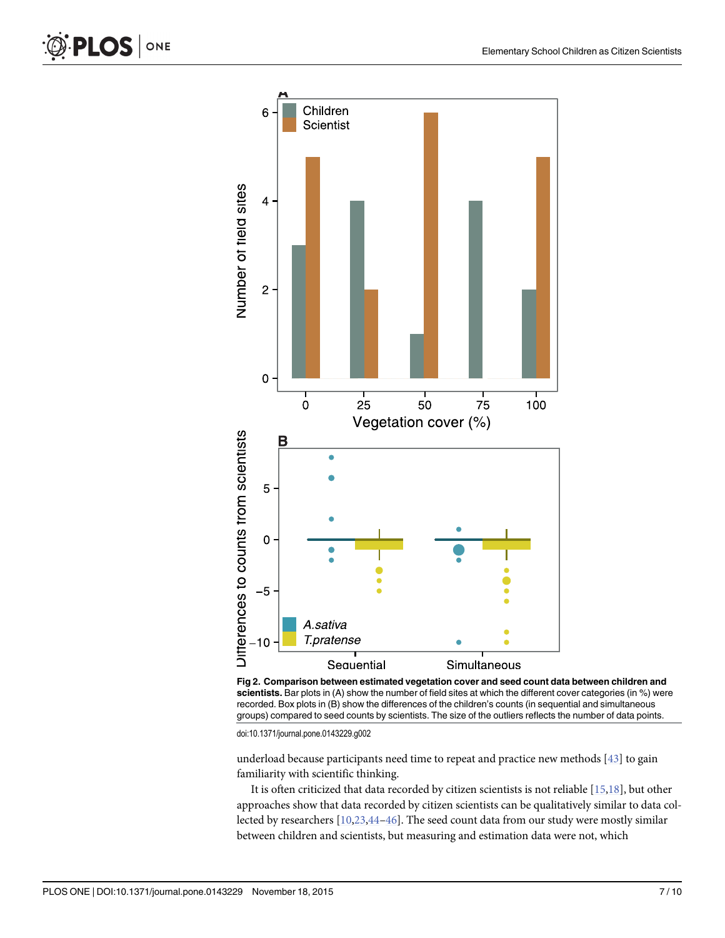<span id="page-7-0"></span>



doi:10.1371/journal.pone.0143229.g002

underload because participants need time to repeat and practice new methods  $[43]$  to gain familiarity with scientific thinking.

It is often criticized that data recorded by citizen scientists is not reliable [[15,18](#page-9-0)], but other approaches show that data recorded by citizen scientists can be qualitatively similar to data col-lected by researchers [\[10,23,](#page-9-0)[44](#page-10-0)-[46](#page-10-0)]. The seed count data from our study were mostly similar between children and scientists, but measuring and estimation data were not, which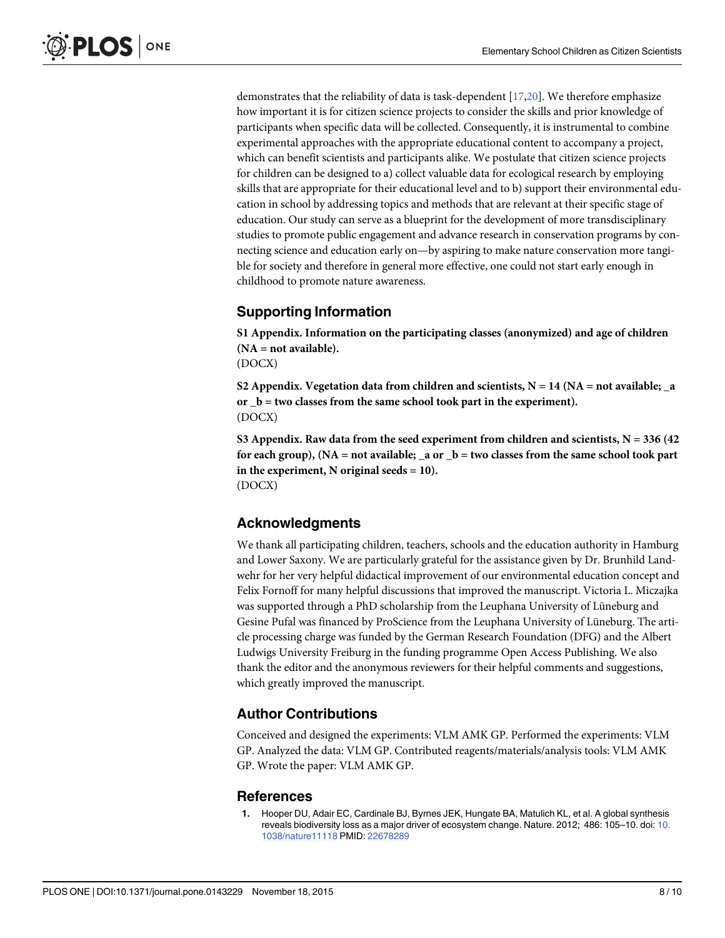<span id="page-8-0"></span>demonstrates that the reliability of data is task-dependent [\[17,20\]](#page-9-0). We therefore emphasize how important it is for citizen science projects to consider the skills and prior knowledge of participants when specific data will be collected. Consequently, it is instrumental to combine experimental approaches with the appropriate educational content to accompany a project, which can benefit scientists and participants alike. We postulate that citizen science projects for children can be designed to a) collect valuable data for ecological research by employing skills that are appropriate for their educational level and to b) support their environmental education in school by addressing topics and methods that are relevant at their specific stage of education. Our study can serve as a blueprint for the development of more transdisciplinary studies to promote public engagement and advance research in conservation programs by connecting science and education early on—by aspiring to make nature conservation more tangible for society and therefore in general more effective, one could not start early enough in childhood to promote nature awareness.

# Supporting Information

[S1 Appendix.](http://www.plosone.org/article/fetchSingleRepresentation.action?uri=info:doi/10.1371/journal.pone.0143229.s001) Information on the participating classes (anonymized) and age of children (NA = not available). (DOCX)

[S2 Appendix.](http://www.plosone.org/article/fetchSingleRepresentation.action?uri=info:doi/10.1371/journal.pone.0143229.s002) Vegetation data from children and scientists,  $N = 14$  ( $NA = not available; a$ or  $_b$  = two classes from the same school took part in the experiment). (DOCX)

[S3 Appendix.](http://www.plosone.org/article/fetchSingleRepresentation.action?uri=info:doi/10.1371/journal.pone.0143229.s003) Raw data from the seed experiment from children and scientists,  $N = 336$  (42) for each group),  $(NA = not available; a or b = two classes from the same school took part)$ in the experiment, N original seeds  $= 10$ ). (DOCX)

## Acknowledgments

We thank all participating children, teachers, schools and the education authority in Hamburg and Lower Saxony. We are particularly grateful for the assistance given by Dr. Brunhild Landwehr for her very helpful didactical improvement of our environmental education concept and Felix Fornoff for many helpful discussions that improved the manuscript. Victoria L. Miczajka was supported through a PhD scholarship from the Leuphana University of Lüneburg and Gesine Pufal was financed by ProScience from the Leuphana University of Lüneburg. The article processing charge was funded by the German Research Foundation (DFG) and the Albert Ludwigs University Freiburg in the funding programme Open Access Publishing. We also thank the editor and the anonymous reviewers for their helpful comments and suggestions, which greatly improved the manuscript.

## Author Contributions

Conceived and designed the experiments: VLM AMK GP. Performed the experiments: VLM GP. Analyzed the data: VLM GP. Contributed reagents/materials/analysis tools: VLM AMK GP. Wrote the paper: VLM AMK GP.

#### References

[1.](#page-1-0) Hooper DU, Adair EC, Cardinale BJ, Byrnes JEK, Hungate BA, Matulich KL, et al. A global synthesis reveals biodiversity loss as a major driver of ecosystem change. Nature. 2012; 486: 105–10. doi: [10.](http://dx.doi.org/10.1038/nature11118) [1038/nature11118](http://dx.doi.org/10.1038/nature11118) PMID: [22678289](http://www.ncbi.nlm.nih.gov/pubmed/22678289)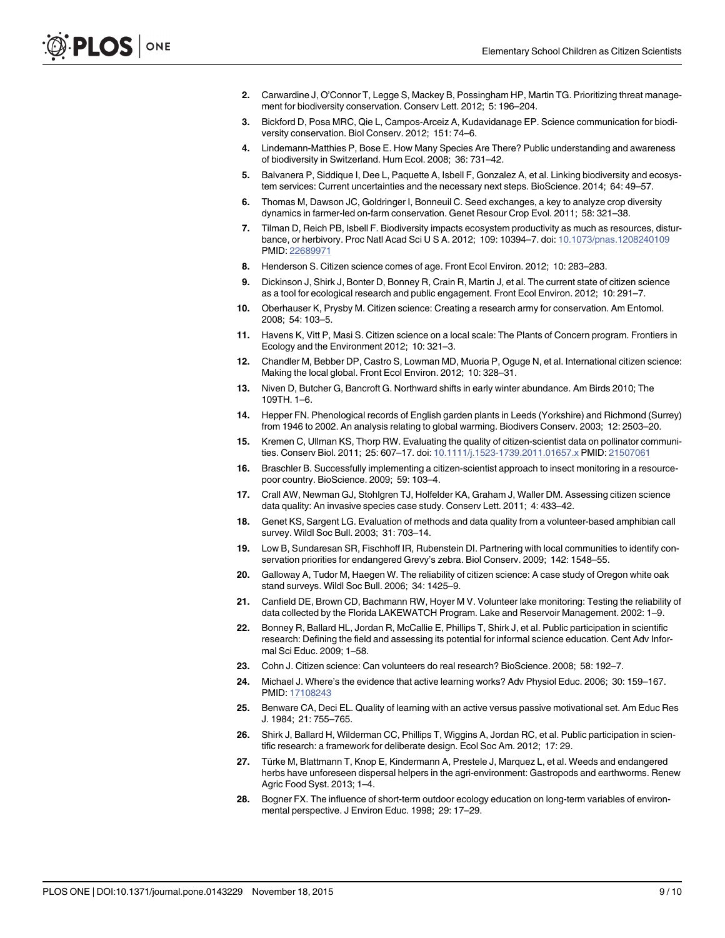- <span id="page-9-0"></span>[2.](#page-1-0) Carwardine J, O'Connor T, Legge S, Mackey B, Possingham HP, Martin TG. Prioritizing threat management for biodiversity conservation. Conserv Lett. 2012; 5: 196–204.
- [3.](#page-1-0) Bickford D, Posa MRC, Qie L, Campos-Arceiz A, Kudavidanage EP. Science communication for biodiversity conservation. Biol Conserv. 2012; 151: 74–6.
- [4.](#page-1-0) Lindemann-Matthies P, Bose E. How Many Species Are There? Public understanding and awareness of biodiversity in Switzerland. Hum Ecol. 2008; 36: 731–42.
- [5.](#page-1-0) Balvanera P, Siddique I, Dee L, Paquette A, Isbell F, Gonzalez A, et al. Linking biodiversity and ecosystem services: Current uncertainties and the necessary next steps. BioScience. 2014; 64: 49–57.
- 6. Thomas M, Dawson JC, Goldringer I, Bonneuil C. Seed exchanges, a key to analyze crop diversity dynamics in farmer-led on-farm conservation. Genet Resour Crop Evol. 2011; 58: 321–38.
- [7.](#page-1-0) Tilman D, Reich PB, Isbell F. Biodiversity impacts ecosystem productivity as much as resources, distur-bance, or herbivory. Proc Natl Acad Sci U S A. 2012; 109: 10394-7. doi: [10.1073/pnas.1208240109](http://dx.doi.org/10.1073/pnas.1208240109) PMID: [22689971](http://www.ncbi.nlm.nih.gov/pubmed/22689971)
- [8.](#page-1-0) Henderson S. Citizen science comes of age. Front Ecol Environ. 2012; 10: 283–283.
- [9.](#page-1-0) Dickinson J, Shirk J, Bonter D, Bonney R, Crain R, Martin J, et al. The current state of citizen science as a tool for ecological research and public engagement. Front Ecol Environ. 2012; 10: 291–7.
- [10.](#page-1-0) Oberhauser K, Prysby M. Citizen science: Creating a research army for conservation. Am Entomol. 2008; 54: 103–5.
- [11.](#page-2-0) Havens K, Vitt P, Masi S. Citizen science on a local scale: The Plants of Concern program. Frontiers in Ecology and the Environment 2012; 10: 321–3.
- [12.](#page-2-0) Chandler M, Bebber DP, Castro S, Lowman MD, Muoria P, Oguge N, et al. International citizen science: Making the local global. Front Ecol Environ. 2012; 10: 328–31.
- [13.](#page-2-0) Niven D, Butcher G, Bancroft G. Northward shifts in early winter abundance. Am Birds 2010; The 109TH. 1–6.
- [14.](#page-2-0) Hepper FN. Phenological records of English garden plants in Leeds (Yorkshire) and Richmond (Surrey) from 1946 to 2002. An analysis relating to global warming. Biodivers Conserv. 2003; 12: 2503–20.
- [15.](#page-2-0) Kremen C, Ullman KS, Thorp RW. Evaluating the quality of citizen-scientist data on pollinator communities. Conserv Biol. 2011; 25: 607–17. doi: [10.1111/j.1523-1739.2011.01657.x](http://dx.doi.org/10.1111/j.1523-1739.2011.01657.x) PMID: [21507061](http://www.ncbi.nlm.nih.gov/pubmed/21507061)
- [16.](#page-2-0) Braschler B. Successfully implementing a citizen-scientist approach to insect monitoring in a resourcepoor country. BioScience. 2009; 59: 103–4.
- [17.](#page-2-0) Crall AW, Newman GJ, Stohlgren TJ, Holfelder KA, Graham J, Waller DM. Assessing citizen science data quality: An invasive species case study. Conserv Lett. 2011; 4: 433–42.
- [18.](#page-2-0) Genet KS, Sargent LG. Evaluation of methods and data quality from a volunteer-based amphibian call survey. Wildl Soc Bull. 2003; 31: 703–14.
- [19.](#page-2-0) Low B, Sundaresan SR, Fischhoff IR, Rubenstein DI. Partnering with local communities to identify conservation priorities for endangered Grevy's zebra. Biol Conserv. 2009; 142: 1548–55.
- [20.](#page-2-0) Galloway A, Tudor M, Haegen W. The reliability of citizen science: A case study of Oregon white oak stand surveys. Wildl Soc Bull. 2006; 34: 1425–9.
- [21.](#page-2-0) Canfield DE, Brown CD, Bachmann RW, Hoyer M V. Volunteer lake monitoring: Testing the reliability of data collected by the Florida LAKEWATCH Program. Lake and Reservoir Management. 2002: 1–9.
- [22.](#page-2-0) Bonney R, Ballard HL, Jordan R, McCallie E, Phillips T, Shirk J, et al. Public participation in scientific research: Defining the field and assessing its potential for informal science education. Cent Adv Informal Sci Educ. 2009; 1–58.
- [23.](#page-2-0) Cohn J. Citizen science: Can volunteers do real research? BioScience. 2008; 58: 192–7.
- [24.](#page-2-0) Michael J. Where's the evidence that active learning works? Adv Physiol Educ. 2006; 30: 159–167. PMID: [17108243](http://www.ncbi.nlm.nih.gov/pubmed/17108243)
- 25. Benware CA, Deci EL. Quality of learning with an active versus passive motivational set. Am Educ Res J. 1984; 21: 755–765.
- [26.](#page-2-0) Shirk J, Ballard H, Wilderman CC, Phillips T, Wiggins A, Jordan RC, et al. Public participation in scientific research: a framework for deliberate design. Ecol Soc Am. 2012; 17: 29.
- [27.](#page-2-0) Türke M, Blattmann T, Knop E, Kindermann A, Prestele J, Marquez L, et al. Weeds and endangered herbs have unforeseen dispersal helpers in the agri-environment: Gastropods and earthworms. Renew Agric Food Syst. 2013; 1–4.
- [28.](#page-2-0) Bogner FX. The influence of short-term outdoor ecology education on long-term variables of environmental perspective. J Environ Educ. 1998; 29: 17–29.